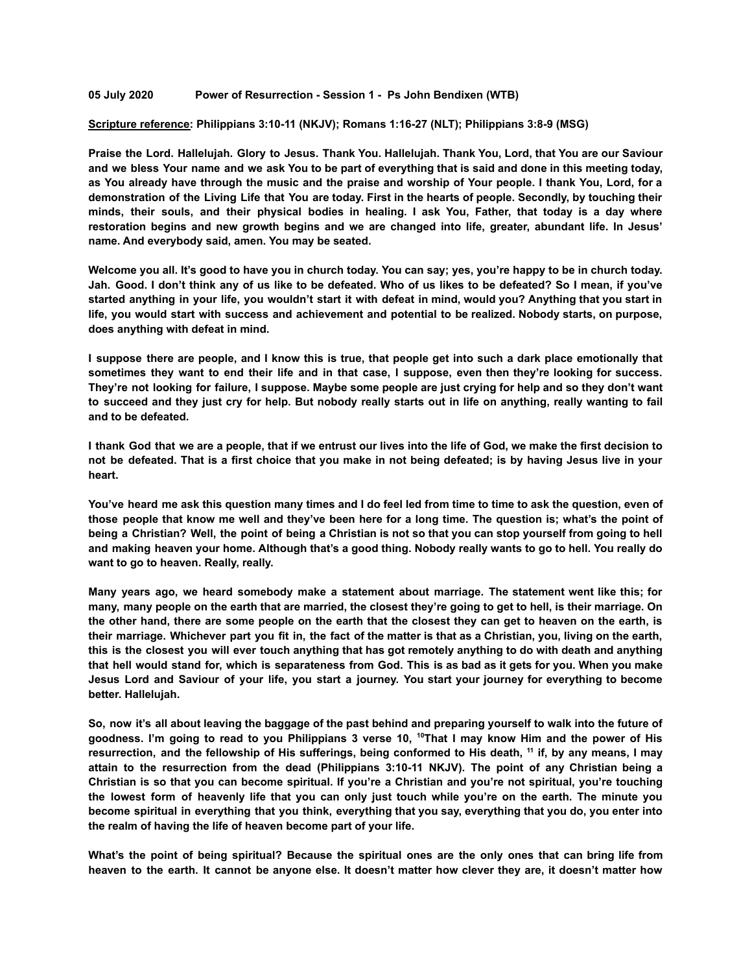## **05 July 2020 Power of Resurrection - Session 1 - Ps John Bendixen (WTB)**

## **Scripture reference: Philippians 3:10-11 (NKJV); Romans 1:16-27 (NLT); Philippians 3:8-9 (MSG)**

Praise the Lord. Hallelujah. Glory to Jesus. Thank You. Hallelujah. Thank You, Lord, that You are our Saviour and we bless Your name and we ask You to be part of everything that is said and done in this meeting today, as You already have through the music and the praise and worship of Your people. I thank You, Lord, for a demonstration of the Living Life that You are today. First in the hearts of people. Secondly, by touching their minds, their souls, and their physical bodies in healing. I ask You, Father, that today is a day where **restoration begins and new growth begins and we are changed into life, greater, abundant life. In Jesus' name. And everybody said, amen. You may be seated.**

Welcome you all. It's good to have you in church today. You can say; yes, you're happy to be in church today. Jah. Good. I don't think any of us like to be defeated. Who of us likes to be defeated? So I mean, if you've started anything in your life, you wouldn't start it with defeat in mind, would you? Anything that you start in life, you would start with success and achievement and potential to be realized. Nobody starts, on purpose, **does anything with defeat in mind.**

I suppose there are people, and I know this is true, that people get into such a dark place emotionally that sometimes they want to end their life and in that case, I suppose, even then they're looking for success. They're not looking for failure, I suppose. Maybe some people are just crying for help and so they don't want to succeed and they just cry for help. But nobody really starts out in life on anything, really wanting to fail **and to be defeated.**

I thank God that we are a people, that if we entrust our lives into the life of God, we make the first decision to not be defeated. That is a first choice that you make in not being defeated; is by having Jesus live in your **heart.**

You've heard me ask this question many times and I do feel led from time to time to ask the question, even of those people that know me well and they've been here for a long time. The question is; what's the point of being a Christian? Well, the point of being a Christian is not so that you can stop yourself from going to hell and making heaven your home. Although that's a good thing. Nobody really wants to go to hell. You really do **want to go to heaven. Really, really.**

**Many years ago, we heard somebody make a statement about marriage. The statement went like this; for** many, many people on the earth that are married, the closest they're going to get to hell, is their marriage. On the other hand, there are some people on the earth that the closest they can get to heaven on the earth, is their marriage. Whichever part you fit in, the fact of the matter is that as a Christian, you, living on the earth, this is the closest you will ever touch anything that has got remotely anything to do with death and anything that hell would stand for, which is separateness from God. This is as bad as it gets for you. When you make Jesus Lord and Saviour of your life, you start a journey. You start your journey for everything to become **better. Hallelujah.**

So, now it's all about leaving the baggage of the past behind and preparing yourself to walk into the future of goodness. I'm going to read to you Philippians 3 verse 10, <sup>10</sup>That I may know Him and the power of His resurrection, and the fellowship of His sufferings, being conformed to His death, <sup>11</sup> if, by any means, I may **attain to the resurrection from the dead (Philippians 3:10-11 NKJV). The point of any Christian being a** Christian is so that you can become spiritual. If you're a Christian and you're not spiritual, you're touching the lowest form of heavenly life that you can only just touch while you're on the earth. The minute you become spiritual in everything that you think, everything that you say, everything that you do, you enter into **the realm of having the life of heaven become part of your life.**

What's the point of being spiritual? Because the spiritual ones are the only ones that can bring life from heaven to the earth. It cannot be anyone else. It doesn't matter how clever they are, it doesn't matter how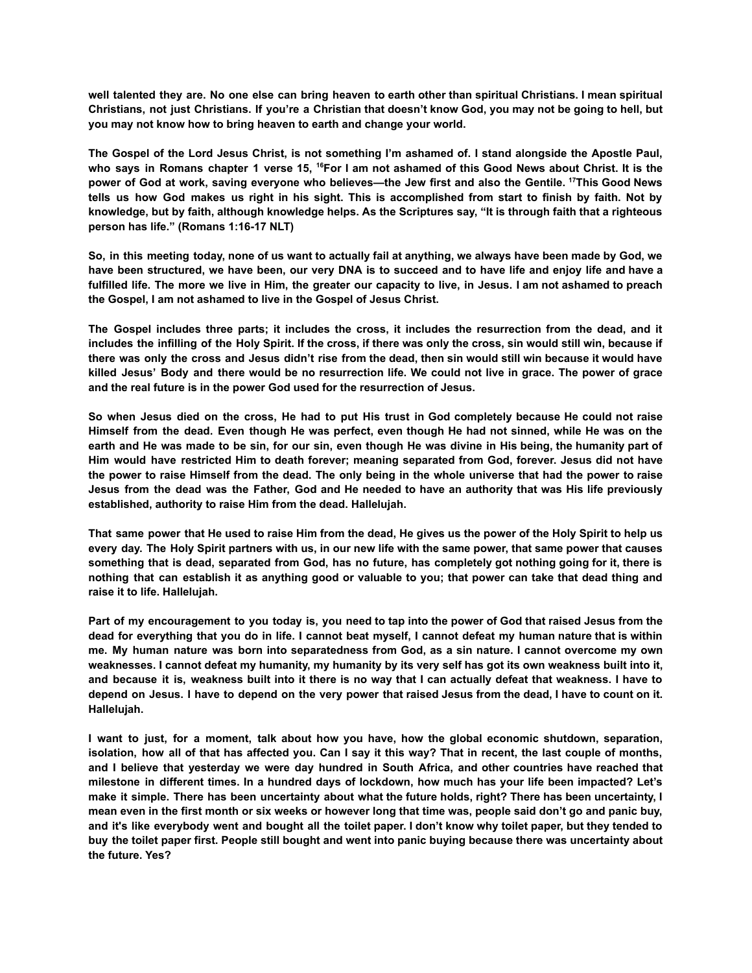well talented they are. No one else can bring heaven to earth other than spiritual Christians. I mean spiritual Christians, not just Christians. If you're a Christian that doesn't know God, you may not be going to hell, but **you may not know how to bring heaven to earth and change your world.**

The Gospel of the Lord Jesus Christ, is not something I'm ashamed of. I stand alongside the Apostle Paul, who says in Romans chapter 1 verse 15, <sup>16</sup>For I am not ashamed of this Good News about Christ. It is the power of God at work, saving everyone who believes—the Jew first and also the Gentile. <sup>17</sup>This Good News tells us how God makes us right in his sight. This is accomplished from start to finish by faith. Not by knowledge, but by faith, although knowledge helps. As the Scriptures say, "It is through faith that a righteous **person has life." (Romans 1:16-17 NLT)**

So, in this meeting today, none of us want to actually fail at anything, we always have been made by God, we have been structured, we have been, our very DNA is to succeed and to have life and enjoy life and have a fulfilled life. The more we live in Him, the greater our capacity to live, in Jesus. I am not ashamed to preach **the Gospel, I am not ashamed to live in the Gospel of Jesus Christ.**

The Gospel includes three parts; it includes the cross, it includes the resurrection from the dead, and it includes the infilling of the Holy Spirit. If the cross, if there was only the cross, sin would still win, because if there was only the cross and Jesus didn't rise from the dead, then sin would still win because it would have killed Jesus' Body and there would be no resurrection life. We could not live in grace. The power of grace **and the real future is in the power God used for the resurrection of Jesus.**

So when Jesus died on the cross, He had to put His trust in God completely because He could not raise Himself from the dead. Even though He was perfect, even though He had not sinned, while He was on the earth and He was made to be sin, for our sin, even though He was divine in His being, the humanity part of **Him would have restricted Him to death forever; meaning separated from God, forever. Jesus did not have** the power to raise Himself from the dead. The only being in the whole universe that had the power to raise Jesus from the dead was the Father, God and He needed to have an authority that was His life previously **established, authority to raise Him from the dead. Hallelujah.**

That same power that He used to raise Him from the dead, He gives us the power of the Holy Spirit to help us every day. The Holy Spirit partners with us, in our new life with the same power, that same power that causes something that is dead, separated from God, has no future, has completely got nothing going for it, there is nothing that can establish it as anything good or valuable to you; that power can take that dead thing and **raise it to life. Hallelujah.**

Part of my encouragement to you today is, you need to tap into the power of God that raised Jesus from the dead for everything that you do in life. I cannot beat myself, I cannot defeat my human nature that is within me. My human nature was born into separatedness from God, as a sin nature. I cannot overcome my own weaknesses. I cannot defeat my humanity, my humanity by its very self has got its own weakness built into it, and because it is, weakness built into it there is no way that I can actually defeat that weakness. I have to depend on Jesus. I have to depend on the very power that raised Jesus from the dead, I have to count on it. **Hallelujah.**

I want to just, for a moment, talk about how you have, how the global economic shutdown, separation, isolation, how all of that has affected you. Can I say it this way? That in recent, the last couple of months, and I believe that yesterday we were day hundred in South Africa, and other countries have reached that milestone in different times. In a hundred days of lockdown, how much has your life been impacted? Let's make it simple. There has been uncertainty about what the future holds, right? There has been uncertainty, I mean even in the first month or six weeks or however long that time was, people said don't go and panic buy, and it's like everybody went and bought all the toilet paper. I don't know why toilet paper, but they tended to buy the toilet paper first. People still bought and went into panic buying because there was uncertainty about **the future. Yes?**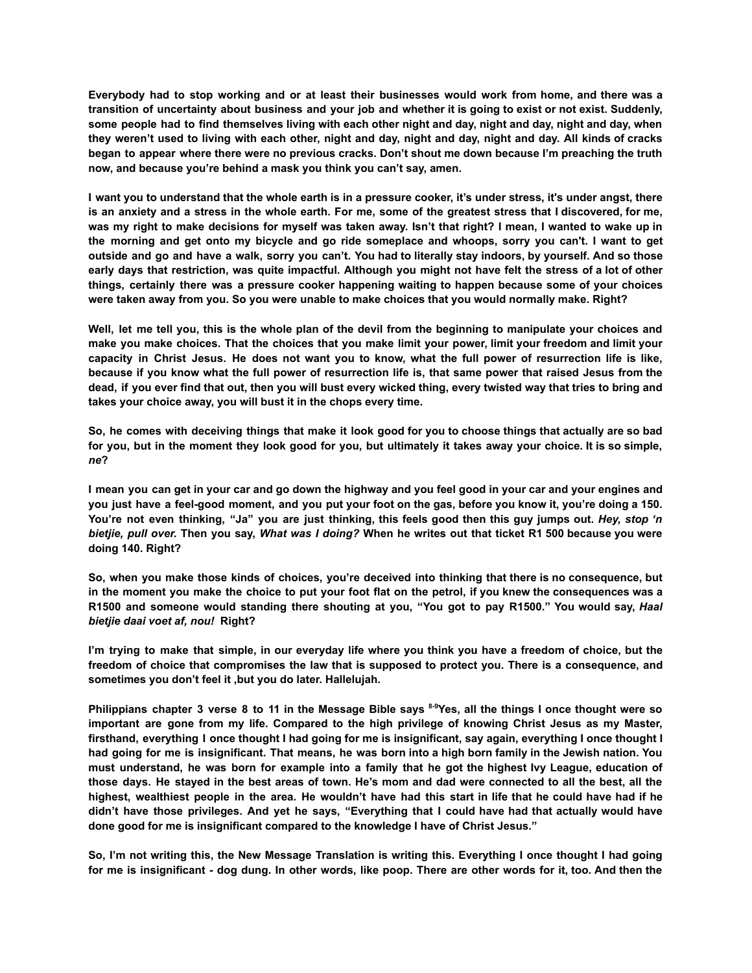Everybody had to stop working and or at least their businesses would work from home, and there was a transition of uncertainty about business and your job and whether it is going to exist or not exist. Suddenly, some people had to find themselves living with each other night and day, night and day, night and day, when they weren't used to living with each other, night and day, night and day, night and day. All kinds of cracks began to appear where there were no previous cracks. Don't shout me down because I'm preaching the truth **now, and because you're behind a mask you think you can't say, amen.**

I want you to understand that the whole earth is in a pressure cooker, it's under stress, it's under angst, there is an anxiety and a stress in the whole earth. For me, some of the greatest stress that I discovered, for me, was my right to make decisions for myself was taken away. Isn't that right? I mean, I wanted to wake up in the morning and get onto my bicycle and go ride someplace and whoops, sorry you can't. I want to get outside and go and have a walk, sorry you can't. You had to literally stay indoors, by yourself. And so those early days that restriction, was quite impactful. Although you might not have felt the stress of a lot of other **things, certainly there was a pressure cooker happening waiting to happen because some of your choices were taken away from you. So you were unable to make choices that you would normally make. Right?**

Well, let me tell you, this is the whole plan of the devil from the beginning to manipulate your choices and make you make choices. That the choices that you make limit your power, limit your freedom and limit your capacity in Christ Jesus. He does not want you to know, what the full power of resurrection life is like, because if you know what the full power of resurrection life is, that same power that raised Jesus from the dead, if you ever find that out, then you will bust every wicked thing, every twisted way that tries to bring and **takes your choice away, you will bust it in the chops every time.**

So, he comes with deceiving things that make it look good for you to choose things that actually are so bad for you, but in the moment they look good for you, but ultimately it takes away your choice. It is so simple, *ne***?**

I mean you can get in your car and go down the highway and you feel good in your car and your engines and you just have a feel-good moment, and you put your foot on the gas, before you know it, you're doing a 150. You're not even thinking, "Ja" you are just thinking, this feels good then this guy jumps out. Hey, stop 'n bietjie, pull over. Then you say, What was I doing? When he writes out that ticket R1 500 because you were **doing 140. Right?**

So, when you make those kinds of choices, you're deceived into thinking that there is no consequence, but in the moment you make the choice to put your foot flat on the petrol, if you knew the consequences was a R1500 and someone would standing there shouting at you, "You got to pay R1500." You would say, Haal *bietjie daai voet af, nou!* **Right?**

I'm trying to make that simple, in our everyday life where you think you have a freedom of choice, but the freedom of choice that compromises the law that is supposed to protect you. There is a consequence, and **sometimes you don't feel it ,but you do later. Hallelujah.**

Philippians chapter 3 verse 8 to 11 in the Message Bible says 8-9Yes, all the things I once thought were so important are gone from my life. Compared to the high privilege of knowing Christ Jesus as my Master, firsthand, everything I once thought I had going for me is insignificant, say again, everything I once thought I had going for me is insignificant. That means, he was born into a high born family in the Jewish nation. You must understand, he was born for example into a family that he got the highest lvy League, education of those days. He stayed in the best areas of town. He's mom and dad were connected to all the best, all the highest, wealthiest people in the area. He wouldn't have had this start in life that he could have had if he didn't have those privileges. And yet he says, "Everything that I could have had that actually would have **done good for me is insignificant compared to the knowledge I have of Christ Jesus."**

So, I'm not writing this, the New Message Translation is writing this. Everything I once thought I had going for me is insignificant - dog dung. In other words, like poop. There are other words for it, too. And then the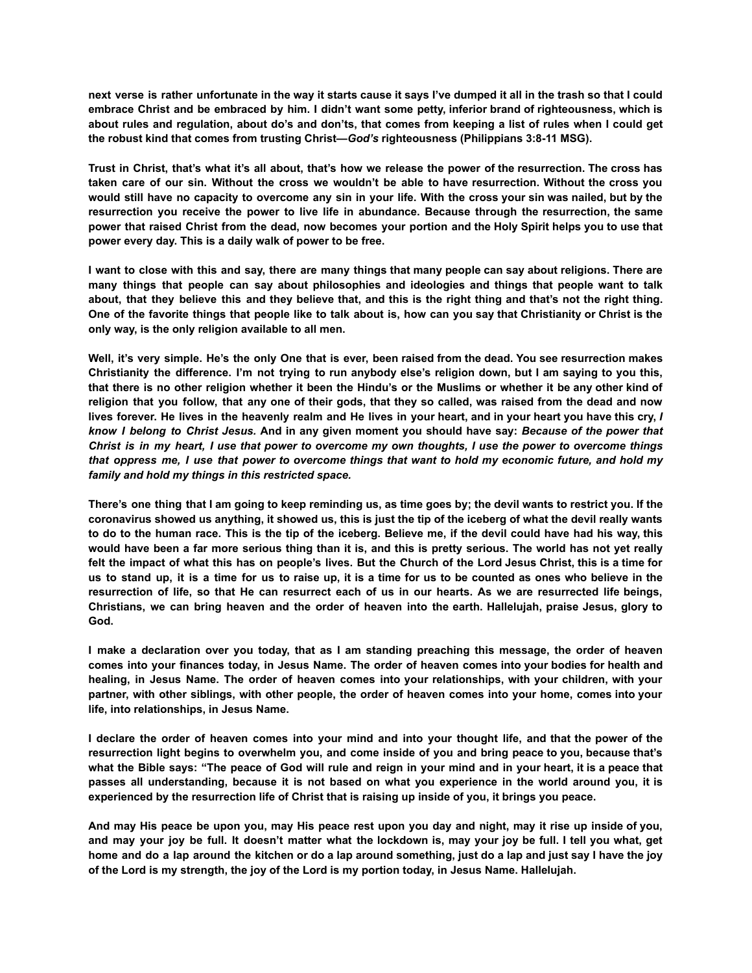next verse is rather unfortunate in the way it starts cause it says I've dumped it all in the trash so that I could embrace Christ and be embraced by him. I didn't want some petty, inferior brand of righteousness, which is about rules and regulation, about do's and don'ts, that comes from keeping a list of rules when I could get **the robust kind that comes from trusting Christ—***God's* **righteousness (Philippians 3:8-11 MSG).**

Trust in Christ, that's what it's all about, that's how we release the power of the resurrection. The cross has taken care of our sin. Without the cross we wouldn't be able to have resurrection. Without the cross you would still have no capacity to overcome any sin in your life. With the cross your sin was nailed, but by the **resurrection you receive the power to live life in abundance. Because through the resurrection, the same** power that raised Christ from the dead, now becomes your portion and the Holy Spirit helps you to use that **power every day. This is a daily walk of power to be free.**

I want to close with this and say, there are many things that many people can say about religions. There are **many things that people can say about philosophies and ideologies and things that people want to talk** about, that they believe this and they believe that, and this is the right thing and that's not the right thing. One of the favorite things that people like to talk about is, how can you say that Christianity or Christ is the **only way, is the only religion available to all men.**

Well, it's very simple. He's the only One that is ever, been raised from the dead. You see resurrection makes Christianity the difference. I'm not trying to run anybody else's religion down, but I am saying to you this, that there is no other religion whether it been the Hindu's or the Muslims or whether it be any other kind of religion that you follow, that any one of their gods, that they so called, was raised from the dead and now lives forever. He lives in the heavenly realm and He lives in your heart, and in your heart you have this cry, I know I belong to Christ Jesus. And in any given moment you should have say: Because of the power that Christ is in my heart, I use that power to overcome my own thoughts, I use the power to overcome things that oppress me, I use that power to overcome things that want to hold my economic future, and hold my *family and hold my things in this restricted space.*

There's one thing that I am going to keep reminding us, as time goes by; the devil wants to restrict you. If the coronavirus showed us anything, it showed us, this is just the tip of the iceberg of what the devil really wants to do to the human race. This is the tip of the iceberg. Believe me, if the devil could have had his way, this would have been a far more serious thing than it is, and this is pretty serious. The world has not yet really felt the impact of what this has on people's lives. But the Church of the Lord Jesus Christ, this is a time for us to stand up, it is a time for us to raise up, it is a time for us to be counted as ones who believe in the resurrection of life, so that He can resurrect each of us in our hearts. As we are resurrected life beings, Christians, we can bring heaven and the order of heaven into the earth. Hallelujah, praise Jesus, glory to **God.**

I make a declaration over you today, that as I am standing preaching this message, the order of heaven comes into your finances today, in Jesus Name. The order of heaven comes into your bodies for health and **healing, in Jesus Name. The order of heaven comes into your relationships, with your children, with your** partner, with other siblings, with other people, the order of heaven comes into your home, comes into your **life, into relationships, in Jesus Name.**

I declare the order of heaven comes into your mind and into your thought life, and that the power of the resurrection light begins to overwhelm you, and come inside of you and bring peace to you, because that's what the Bible says: "The peace of God will rule and reign in your mind and in your heart, it is a peace that passes all understanding, because it is not based on what you experience in the world around you, it is **experienced by the resurrection life of Christ that is raising up inside of you, it brings you peace.**

And may His peace be upon you, may His peace rest upon you day and night, may it rise up inside of you, and may your joy be full. It doesn't matter what the lockdown is, may your joy be full. I tell you what, get home and do a lap around the kitchen or do a lap around something, just do a lap and just say I have the joy **of the Lord is my strength, the joy of the Lord is my portion today, in Jesus Name. Hallelujah.**